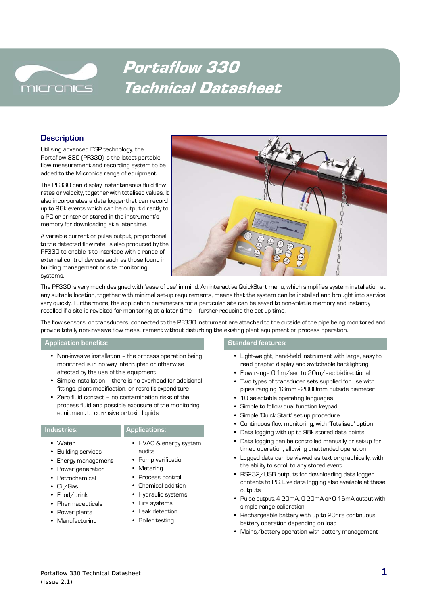

# Portaflow 330 Technical Datasheet

# **Description**

Utilising advanced DSP technology, the Portaflow 330 (PF330) is the latest portable flow measurement and recording system to be added to the Micronics range of equipment.

The PF330 can display instantaneous fluid flow rates or velocity, together with totalised values. It also incorporates a data logger that can record up to 98k events which can be output directly to a PC or printer or stored in the instrument's memory for downloading at a later time.

A variable current or pulse output, proportional to the detected flow rate, is also produced by the PF330 to enable it to interface with a range of external control devices such as those found in building management or site monitoring systems.



The PF330 is very much designed with 'ease of use' in mind. An interactive QuickStart menu, which simplifies system installation at any suitable location, together with minimal set-up requirements, means that the system can be installed and brought into service very quickly. Furthermore, the application parameters for a particular site can be saved to non-volatile memory and instantly recalled if a site is revisited for monitoring at a later time – further reducing the set-up time.

The flow sensors, or transducers, connected to the PF330 instrument are attached to the outside of the pipe being monitored and provide totally non-invasive flow measurement without disturbing the existing plant equipment or process operation.

### **Application benefits: Standard features:**

- **•** Non-invasive installation the process operation being monitored is in no way interrupted or otherwise affected by the use of this equipment
- **•** Simple installation there is no overhead for additional fittings, plant modification, or retro-fit expenditure
- **•** Zero fluid contact no contamination risks of the process fluid and possible exposure of the monitoring equipment to corrosive or toxic liquids

### **Industries: Applications:**

- **•** Water
- **•** Building services
- **•** Energy management
- **•** Power generation
- **•** Petrochemical
- **•** Oil/Gas
- **•** Food/drink
- **•** Pharmaceuticals
- **•** Power plants
- **•** Manufacturing

- **•** HVAC & energy system audits
- **•** Pump verification
- **•** Metering
- 
- **•** Process control
- **•** Chemical addition
- **•** Hydraulic systems
- **•** Fire systems
- **•** Leak detection
- **•** Boiler testing

- **•** Light-weight, hand-held instrument with large, easy to read graphic display and switchable backlighting
- **•** Flow range 0.1m/sec to 20m/sec bi-directional
- **•** Two types of transducer sets supplied for use with pipes ranging 13mm - 2000mm outside diameter
- **•** 10 selectable operating languages
- **•** Simple to follow dual function keypad
- **•** Simple 'Quick Start' set up procedure
- **•** Continuous flow monitoring, with 'Totalised' option
- **•** Data logging with up to 98k stored data points
- **•** Data logging can be controlled manually or set-up for timed operation, allowing unattended operation
- **•** Logged data can be viewed as text or graphically, with the ability to scroll to any stored event
- **•** RS232/USB outputs for downloading data logger contents to PC. Live data logging also available at these outputs
- **•** Pulse output, 4-20mA, 0-20mA or 0-16mA output with simple range calibration
- **•** Rechargeable battery with up to 20hrs continuous battery operation depending on load
- **•** Mains/battery operation with battery management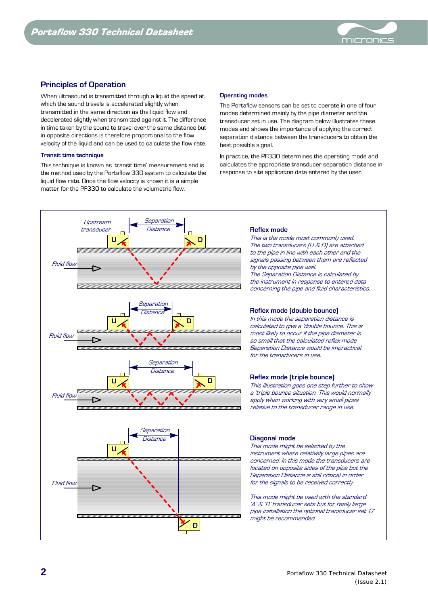

# **Principles of Operation**

When ultrasound is transmitted through a liquid the speed at which the sound travels is accelerated slightly when transmitted in the same direction as the liquid flow and decelerated slightly when transmitted against it. The difference in time taken by the sound to travel over the same distance but in opposite directions is therefore proportional to the flow velocity of the liquid and can be used to calculate the flow rate.

### **Transit time technique**

This technique is known as 'transit time' measurement and is the method used by the Portaflow 330 system to calculate the liquid flow rate. Once the flow velocity is known it is a simple matter for the PF330 to calculate the volumetric flow.

### **Operating modes**

The Portaflow sensors can be set to operate in one of four modes determined mainly by the pipe diameter and the transducer set in use. The diagram below illustrates these modes and shows the importance of applying the correct separation distance between the transducers to obtain the best possible signal.

In practice, the PF330 determines the operating mode and calculates the appropriate transducer separation distance in response to site application data entered by the user.



### **Reflex mode**

This is the mode most commonly used. The two transducers (U & D) are attached to the pipe in line with each other and the signals passing between them are reflected by the opposite pipe wall. The Separation Distance is calculated by the instrument in response to entered data concerning the pipe and fluid characteristics.

### **Reflex mode (double bounce)**

In this mode the separation distance is calculated to give a 'double bounce. This is most likely to occur if the pipe diameter is so small that the calculated reflex mode Separation Distance would be impractical for the transducers in use.

### **Reflex mode (triple bounce)**

This illustration goes one step further to show <sup>a</sup>'triple bounce situation. This would normally apply when working with very small pipes relative to the transducer range in use.

### **Diagonal mode**

This mode might be selected by the instrument where relatively large pipes are concerned. In this mode the transducers are located on opposite sides of the pipe but the Separation Distance is still critical in order for the signals to be received correctly.

This mode might be used with the standard 'A' & 'B' transducer sets but for really large pipe installation the optional transducer set 'D' might be recommended.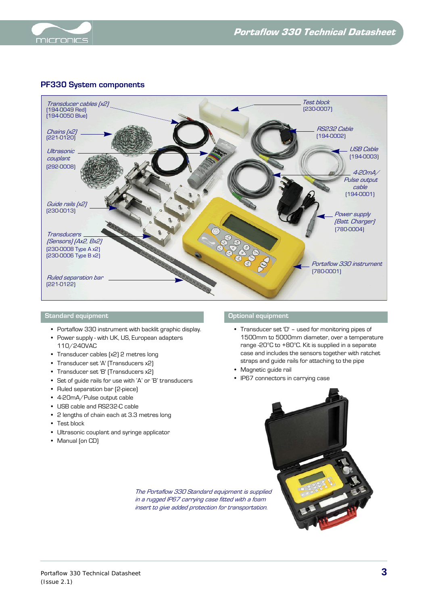



# **PF330 System components**



### **Standard equipment Optional equipment**

- **•** Portaflow 330 instrument with backlit graphic display.
- **•** Power supply with UK, US, European adapters 110/240VAC
- **•** Transducer cables (x2) 2 metres long
- **•** Transducer set 'A' (Transducers x2)
- **•** Transducer set 'B' (Transducers x2)
- **•** Set of guide rails for use with 'A' or 'B' transducers
- **•** Ruled separation bar (2-piece)
- **•** 4-20mA/Pulse output cable
- **•** USB cable and RS232-C cable
- **•** 2 lengths of chain each at 3.3 metres long
- **•** Test block
- **•** Ultrasonic couplant and syringe applicator
- **•** Manual (on CD)

- **•** Transducer set 'D' used for monitoring pipes of 1500mm to 5000mm diameter, over a temperature range -20°C to +80°C. Kit is supplied in a separate case and includes the sensors together with ratchet straps and guide rails for attaching to the pipe
- **•** Magnetic guide rail
- **•** IP67 connectors in carrying case



The Portaflow 330 Standard equipment is supplied in a rugged IP67 carrying case fitted with a foam insert to give added protection for transportation.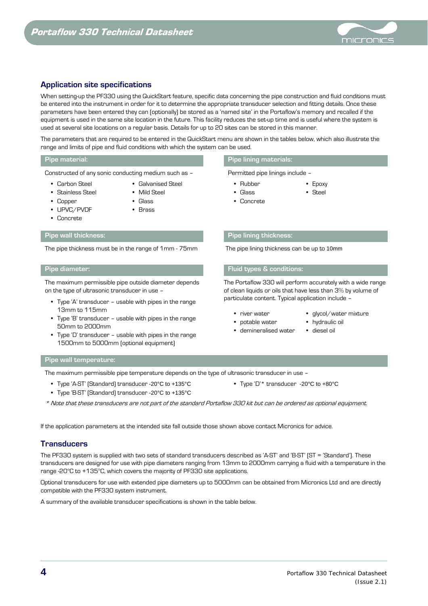

# **Application site specifications**

When setting-up the PF330 using the QuickStart feature, specific data concerning the pipe construction and fluid conditions must be entered into the instrument in order for it to determine the appropriate transducer selection and fitting details. Once these parameters have been entered they can (optionally) be stored as a 'named site' in the Portaflow's memory and recalled if the equipment is used in the same site location in the future. This facility reduces the set-up time and is useful where the system is used at several site locations on a regular basis. Details for up to 20 sites can be stored in this manner.

The parameters that are required to be entered in the QuickStart menu are shown in the tables below, which also illustrate the range and limits of pipe and fluid conditions with which the system can be used.

Constructed of any sonic conducting medium such as – Permitted pipe linings include –

- **•** Carbon Steel
- **•** Galvanised Steel **•** Mild Steel
- **•** Stainless Steel
	-
- 
- **•** UPVC/PVDF **•** Concrete

**•** Copper

- **•** Glass **•** Brass
- 

The pipe thickness must be in the range of 1mm - 75mm The pipe lining thickness can be up to 10mm

The maximum permissible pipe outside diameter depends on the type of ultrasonic transducer in use –

- **•** Type 'A' transducer usable with pipes in the range 13mm to 115mm
- **•** Type 'B' transducer usable with pipes in the range 50mm to 2000mm
- **•** Type 'D' transducer usable with pipes in the range 1500mm to 5000mm (optional equipment)

### **Pipe material: Pipe lining materials:**

- **•** Rubber
- **•** Glass
- **•** Concrete

### **Pipe wall thickness: Pipe lining thickness:**

### **Pipe diameter: Fluid types & conditions:**

The Portaflow 330 will perform accurately with a wide range of clean liquids or oils that have less than 3% by volume of particulate content. Typical application include –

**•** Epoxy **•** Steel

- **•** river water
- **•** glycol/water mixture **•** hydraulic oil
- **•** potable water
- **•** demineralised water **•** diesel oil

**Pipe wall temperature:**

The maximum permissible pipe temperature depends on the type of ultrasonic transducer in use –

- **•** Type 'A-ST' (Standard) transducer -20°C to +135°C
- **•** Type 'B-ST' (Standard) transducer -20°C to +135°C
- **•** Type 'D'\* transducer -20°C to +80°C
- \* Note that these transducers are not part of the standard Portaflow 330 kit but can be ordered as optional equipment.

If the application parameters at the intended site fall outside those shown above contact Micronics for advice.

### **Transducers**

The PF330 system is supplied with two sets of standard transducers described as 'A-ST' and 'B-ST' (ST = 'Standard'). These transducers are designed for use with pipe diameters ranging from 13mm to 2000mm carrying a fluid with a temperature in the range -20°C to +135°C, which covers the majority of PF330 site applications.

Optional transducers for use with extended pipe diameters up to 5000mm can be obtained from Micronics Ltd and are directly compatible with the PF330 system instrument.

A summary of the available transducer specifications is shown in the table below.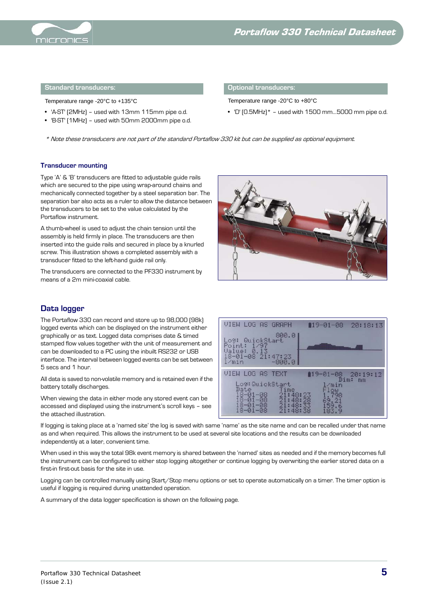

### **Standard transducers: Optional transducers:**

Temperature range -20°C to +135°C Temperature range -20°C to +80°C

- **•** 'A-ST' (2MHz) used with 13mm 115mm pipe o.d.
- **•** 'B-ST' (1MHz) used with 50mm 2000mm pipe o.d.

**•** 'D' (0.5MHz)\* – used with 1500 mm…5000 mm pipe o.d.

\* Note these transducers are not part of the standard Portaflow 330 kit but can be supplied as optional equipment.

### **Transducer mounting**

Type 'A' & 'B' transducers are fitted to adjustable guide rails which are secured to the pipe using wrap-around chains and mechanically connected together by a steel separation bar. The separation bar also acts as a ruler to allow the distance between the transducers to be set to the value calculated by the Portaflow instrument.

A thumb-wheel is used to adjust the chain tension until the assembly is held firmly in place. The transducers are then inserted into the guide rails and secured in place by a knurled screw. This illustration shows a completed assembly with a transducer fitted to the left-hand guide rail only.

The transducers are connected to the PF330 instrument by means of a 2m mini-coaxial cable.



### **Data logger**

The Portaflow 330 can record and store up to 98,000 (98k) logged events which can be displayed on the instrument either graphically or as text. Logged data comprises date & timed stamped flow values together with the unit of measurement and can be downloaded to a PC using the inbuilt RS232 or USB interface. The interval between logged events can be set between 5 secs and 1 hour.

All data is saved to non-volatile memory and is retained even if the battery totally discharges.

When viewing the data in either mode any stored event can be accessed and displayed using the instrument's scroll keys – see the attached illustration.

VIEW LOG AS GRAPH  $19 - 91 - 98$ 20:18:13 800.0  $-0.1$ min VIEW LOG AS TEXT  $19 - 01 - 08$ 20:19:12 Dim:  $DivichSta$ 

If logging is taking place at a 'named site' the log is saved with same 'name' as the site name and can be recalled under that name as and when required. This allows the instrument to be used at several site locations and the results can be downloaded independently at a later, convenient time.

When used in this way the total 98k event memory is shared between the 'named' sites as needed and if the memory becomes full the instrument can be configured to either stop logging altogether or continue logging by overwriting the earlier stored data on a first-in first-out basis for the site in use.

Logging can be controlled manually using Start/Stop menu options or set to operate automatically on a timer. The timer option is useful if logging is required during unattended operation.

A summary of the data logger specification is shown on the following page.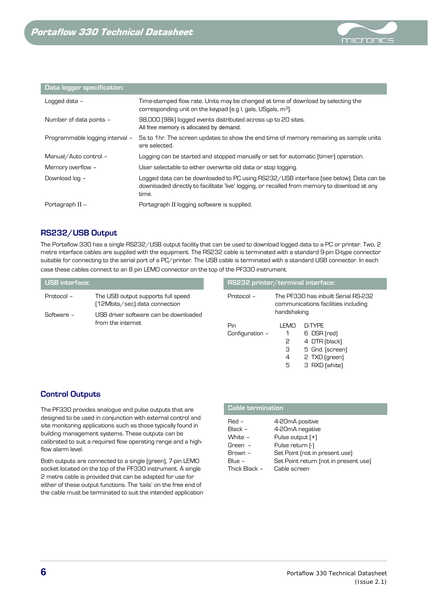

### **Data logger specification:**

| Logged data -                   | Time-stamped flow rate. Units may be changed at time of download by selecting the<br>corresponding unit on the keypad (e.g I, gals, USgals, m <sup>3</sup> ).                                   |
|---------------------------------|-------------------------------------------------------------------------------------------------------------------------------------------------------------------------------------------------|
| Number of data points -         | 98,000 (98k) logged events distributed across up to 20 sites.<br>All free memory is allocated by demand.                                                                                        |
| Programmable logging interval - | 5s to 1hr. The screen updates to show the end time of memory remaining as sample units<br>are selected.                                                                                         |
| Manual/Auto control -           | Logging can be started and stopped manually or set for automatic (timer) operation.                                                                                                             |
| Memory overflow -               | User selectable to either overwrite old data or stop logging.                                                                                                                                   |
| Download log -                  | Logged data can be downloaded to PC using RS232/USB interface (see below). Data can be<br>downloaded directly to facilitate 'live' logging, or recalled from memory to download at any<br>time. |
| Portagraph $II -$               | Portagraph II logging software is supplied.                                                                                                                                                     |

# **RS232/USB Output**

The Portaflow 330 has a single RS232/USB output facility that can be used to download logged data to a PC or printer. Two, 2 metre interface cables are supplied with the equipment. The RS232 cable is terminated with a standard 9-pin D-type connector suitable for connecting to the serial port of a PC/printer. The USB cable is terminated with a standard USB connector. In each case these cables connect to an 8 pin LEMO connector on the top of the PF330 instrument.

| <b>USB</b> interface: |                                                                     | RS232 printer/terminal interface: |             |                                                 |
|-----------------------|---------------------------------------------------------------------|-----------------------------------|-------------|-------------------------------------------------|
| Protocol -            | The USB output supports full speed<br>(12Mbits/sec) data connection | Protocol -                        |             | The PF330 has inbuilt<br>communications facilit |
| Software -            | USB driver software can be downloaded                               |                                   | handshaking |                                                 |
|                       | from the internet                                                   | Pin<br>Configuration -            | I FMO       | D-TYPF<br>6 DSR (red                            |

| RS232 printer/terminal interface: |                                |                                                                                             |
|-----------------------------------|--------------------------------|---------------------------------------------------------------------------------------------|
| Protocol -                        | handshaking                    | The PF330 has inbuilt Serial RS-232<br>communications facilities including                  |
| Pin<br>Configuration -            | I EMO<br>1<br>2<br>З<br>4<br>5 | D-TYPF<br>6 DSR (red)<br>4 DTR (black)<br>5 Gnd. (screen)<br>2 TXD (green)<br>3 RXD [white] |

# **Control Outputs**

The PF330 provides analogue and pulse outputs that are designed to be used in conjunction with external control and site monitoring applications such as those typically found in building management systems. These outputs can be calibrated to suit a required flow operating range and a highflow alarm level.

Both outputs are connected to a single (green), 7-pin LEMO socket located on the top of the PF330 instrument. A single 2 metre cable is provided that can be adapted for use for either of these output functions. The 'tails' on the free end of the cable must be terminated to suit the intended application

### **Cable termination**

| $Red -$       | 4-20mA positive                       |
|---------------|---------------------------------------|
| Black -       | 4-20mA negative                       |
| White -       | Pulse output [+]                      |
| Green -       | Pulse return [-]                      |
| Brown -       | Set Point (not in present use)        |
| Blue $-$      | Set Point return (not in present use) |
| Thick Black - | Cable screen                          |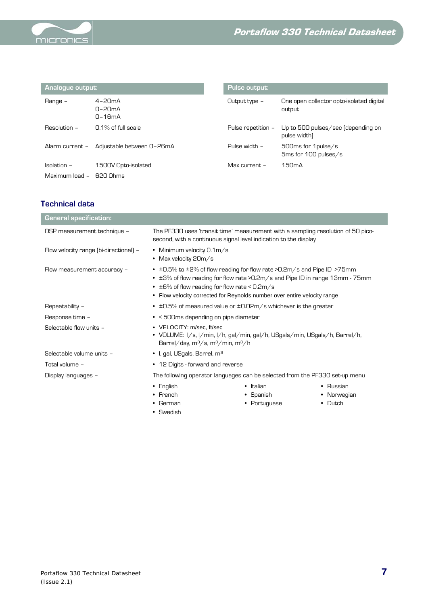

| Analogue output: |                                                                                    | Pulse output:      |                                                    |  |
|------------------|------------------------------------------------------------------------------------|--------------------|----------------------------------------------------|--|
| Range -          | $4 - 2$ $$\mathsf{D} \mathsf{m}$ $$\mathsf{A}$$<br>$n-2nmA$<br>$n - 1$ 6m $\Delta$ | Output type $-$    | One open collector opto-isolated digital<br>output |  |
| Resolution -     | $0.1\%$ of full scale                                                              | Pulse repetition - | Up to 500 pulses/sec (depending on<br>pulse width) |  |
| Alarm current -  | Adjustable between 0-26mA                                                          | Pulse width $-$    | 500ms for 1 pulse/s<br>5ms for 100 pulses/s        |  |
| $Isolation -$    | 1500V Opto-isolated                                                                | Max current. $-$   | 150 <sub>m</sub> A                                 |  |
| Maximum load -   | 620 Ohms                                                                           |                    |                                                    |  |

# **Technical data**

| <b>General specification:</b>          |                                                                                                                                                                                                                                                                                                   |              |             |
|----------------------------------------|---------------------------------------------------------------------------------------------------------------------------------------------------------------------------------------------------------------------------------------------------------------------------------------------------|--------------|-------------|
| DSP measurement technique -            | The PF330 uses 'transit time' measurement with a sampling resolution of 50 pico-<br>second, with a continuous signal level indication to the display                                                                                                                                              |              |             |
| Flow velocity range (bi-directional) - | • Minimum velocity $0.1\,\mathrm{m/s}$<br>• Max velocity 20m/s                                                                                                                                                                                                                                    |              |             |
| Flow measurement accuracy -            | • $\pm$ 0.5% to $\pm$ 2% of flow reading for flow rate >0.2m/s and Pipe ID >75mm<br>• ±3% of flow reading for flow rate >0.2m/s and Pipe ID in range 13mm - 75mm<br>• $\pm$ 6% of flow reading for flow rate < 0.2m/s<br>• Flow velocity corrected for Reynolds number over entire velocity range |              |             |
| Repeatability -                        | $\cdot$ ±0.5% of measured value or ±0.02m/s whichever is the greater                                                                                                                                                                                                                              |              |             |
| Response time -                        | • < 500ms depending on pipe diameter                                                                                                                                                                                                                                                              |              |             |
| Selectable flow units -                | • VELOCITY: m/sec, ft/sec<br>• VOLUME: I/s, I/min, I/h, gal/min, gal/h, USgals/min, USgals/h, Barrel/h,<br>Barrel/day, $m^3/s$ , $m^3/m$ in, $m^3/h$                                                                                                                                              |              |             |
| Selectable volume units -              | • I, gal, USgals, Barrel, m <sup>3</sup>                                                                                                                                                                                                                                                          |              |             |
| Total volume -                         | • 12 Digits - forward and reverse                                                                                                                                                                                                                                                                 |              |             |
| Display languages -                    | The following operator languages can be selected from the PF330 set-up menu                                                                                                                                                                                                                       |              |             |
|                                        | $\bullet$ English                                                                                                                                                                                                                                                                                 | • Italian    | • Russian   |
|                                        | $\cdot$ French                                                                                                                                                                                                                                                                                    | • Spanish    | • Norwegian |
|                                        | $\bullet$ German                                                                                                                                                                                                                                                                                  | • Portuguese | Dutch<br>٠  |
|                                        | • Swedish                                                                                                                                                                                                                                                                                         |              |             |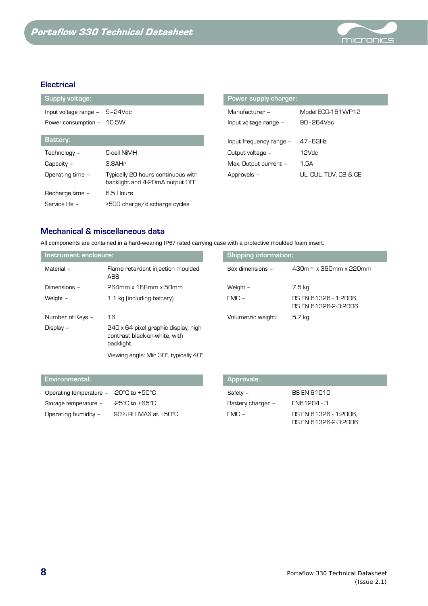

# **Electrical**

| <b>Supply voltage:</b> |                                                                       | <b>Power supply charger:</b> |                       |
|------------------------|-----------------------------------------------------------------------|------------------------------|-----------------------|
| Input voltage range -  | 9-24Vdc                                                               | Manufacturer $-$             | Model ECO-181WP12     |
| Power consumption -    | 10.5W                                                                 | Input voltage range -        | 90-264Vac             |
| Battery:               |                                                                       | Input frequency range -      | $47 - 63$ Hz          |
| Technology -           | 5-cell NiMH                                                           | Output voltage -             | 12Vdc                 |
| Capacity -             | 3.8AHr                                                                | Max. Output current -        | 1.5A                  |
| Operating time -       | Typically 20 hours continuous with<br>backlight and 4-20mA output OFF | Approvals -                  | UL. CUL. TUV. CB & CE |
| Recharge time -        | 6.5 Hours                                                             |                              |                       |
| Service life -         | >500 charge/discharge cycles                                          |                              |                       |

| <b>PUWER Supply Charger.</b> |                       |
|------------------------------|-----------------------|
| Manufacturer –               | Model FCO-181WP12     |
| Input voltage range -        | $90 - 264$ Vac        |
|                              |                       |
| Input frequency range -      | 47-63Hz               |
| Output voltage -             | 12Vdc                 |
| Max. Output current -        | 1.5A                  |
| Approvals -                  | UL, CUL, TUV, CB & CE |

# **Mechanical & miscellaneous data**

All components are contained in a hard-wearing IP67 rated carrying case with a protective moulded foam insert.

| Instrument enclosure: |                                                                                     | <b>Shipping information:</b> |                                               |  |
|-----------------------|-------------------------------------------------------------------------------------|------------------------------|-----------------------------------------------|--|
| Material -            | Flame retardant injection moulded<br><b>ABS</b>                                     | Box dimensions -             | 430mm x 360mm x 220mm                         |  |
| Dimensions -          | 264mm x 168mm x 50mm                                                                | Weight -                     | 7.5 kg                                        |  |
| Weight -              | 1.1 kg (including battery)                                                          | $EMC -$                      | BS EN 61326 - 1:2006,<br>BS EN 61326-2-3:2006 |  |
| Number of Keys -      | 16                                                                                  | Volumetric weight:           | 5.7 kg                                        |  |
| Display -             | 240 x 64 pixel graphic display, high<br>contrast black-on-white, with<br>backlight. |                              |                                               |  |
|                       | Viewing angle: Min 30°, typically 40°                                               |                              |                                               |  |

| L Environmental: '                                       | <b>Approvals:</b> |             |
|----------------------------------------------------------|-------------------|-------------|
| Operating temperature $-20^{\circ}$ C to $+50^{\circ}$ C | Safety -          | BS EN 61010 |
| -25°C to +65°C<br>Storage temperature -                  | Battery charger – | EN61204 - 3 |

Operating humidity - 90% RH MAX at +50°C

| <b>Approvals:</b> |                                               |
|-------------------|-----------------------------------------------|
| Safety -          | <b>BS EN 61010</b>                            |
| Battery charger - | FN61204 - 3                                   |
| $FMC -$           | BS EN 61326 - 1:2006.<br>BS EN 61326-2-3:2006 |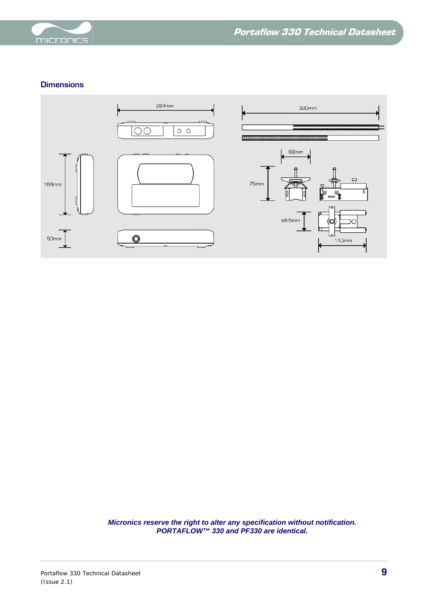

# **Dimensions**



*Micronics reserve the right to alter any specification without notification. PORTAFLOW™ 330 and PF330 are identical.*